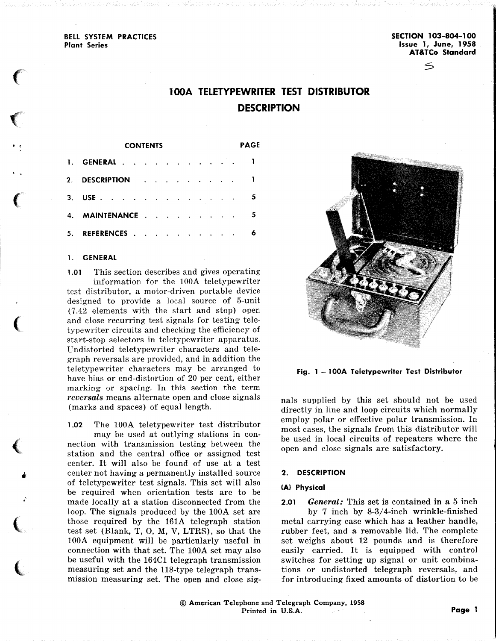BELL SYSTEM PRACTICES Plant Series

 $\epsilon$ 

 $\left( \begin{array}{c} 0 \ 0 \end{array} \right)$ 

 $\bullet$ 

 $\left($ 

 $\big($ 

 $\big($ 

•

;

(

(

SECTION 103-804-1 00 Issue 1, June, 1958 AT&TCo Standard

s

# **1 OOA TELETYPEWRITER TEST DISTRIBUTOR DESCRIPTION**

| <b>CONTENTS</b> |                |  |  |  |  |  |  |  |  | PAGE |  |
|-----------------|----------------|--|--|--|--|--|--|--|--|------|--|
|                 | 1. GENERAL 1   |  |  |  |  |  |  |  |  |      |  |
|                 | 2. DESCRIPTION |  |  |  |  |  |  |  |  |      |  |
|                 | 3. USE         |  |  |  |  |  |  |  |  |      |  |
|                 | 4. MAINTENANCE |  |  |  |  |  |  |  |  |      |  |
|                 | 5. REFERENCES  |  |  |  |  |  |  |  |  |      |  |

#### 1. GENERAL

1.01 This section describes and gives operating information for the lOOA teletypewriter test distributor, a motor-driven portable device designed to provide a local source of 5-unit (7.42 elements with the start and stop) open and close recurring test signals for testing teletypewriter circuits and checking the efficiency of start-stop selectors in teletypewriter apparatus. Undistorted teletypewriter characters and telegraph reversals are provided, and in addition the teletypewriter characters may be arranged to have bias or end-distortion of 20 per cent, either marking or spacing. In this section the term *reversals* means alternate open and close signals (marks and spaces) of equal length.

<sup>1</sup>.02 The lOOA teletypewriter test distributor may be used at outlying stations in connection with transmission testing between the station and the central office or assigned test center. It will also be found of use at a test center not having a permanently installed source of teletypewriter test signals. This set will also be required when orientation tests are to be made locally at a station disconnected from the loop. The signals produced by the 100A set are those required by the 161A telegraph station test set (Blank, T, 0, M, V, LTRS), so that the 100A equipment will be particularly useful in connection with that set. The lOOA set may also be useful with the 164Cl telegraph transmission measuring set and the 118-type telegraph transmission measuring set. The open and close sig-



Fig. 1 – 100A Teletypewriter Test Distributor<br>
mals supplied by this set should not be used<br>
directly in line and loop circuits which normally<br>
employ polar or effective polar transmission. In<br>
most cases, the signals fro tions or undistorted telegraph reversals, and for introducing fixed amounts of distortion to be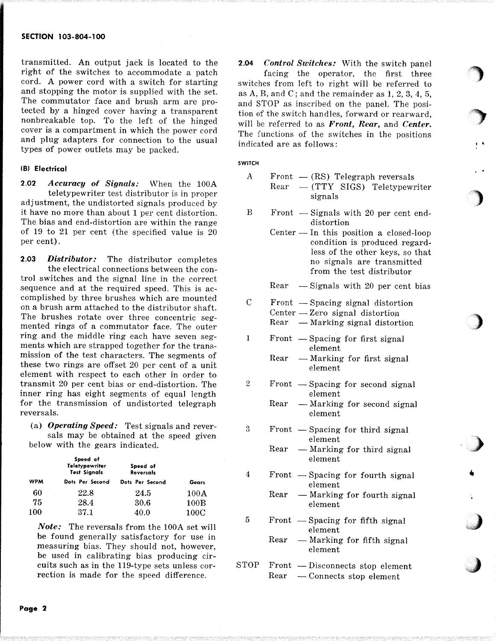# SECTION 103-804-100

transmitted. An output jack is located to the right of the switches to accommodate a patch cord. A power cord with a switch for starting and stopping the motor is supplied with the set. The commutator face and brush arm are protected by a hinged cover having a transparent nonbreakable top. To the left of the hinged cover is a compartment in which the power cord and plug adapters for connection to the usual types of power outlets may be packed.

# (B) Electrical

2.02 *Accuracy of Signals:* When the 100A teletypewriter test distributor is in proper adjustment, the undistorted signals produced by it have no more than about 1 per cent distortion. The bias and end-distortion are within the range of 19 to 21 per cent (the specified value is 20 per cent).

2.03 *Distributor:* The distributor completes the electrical connections between the control switches and the signal line in the correct sequence and at the required speed. This is accomplished by three brushes which are mounted on a brush arm attached to the distributor shaft. The brushes rotate over three concentric segmented rings of a commutator face. The outer ring and the middle ring each have seven segments which are strapped together for the transmission of the test characters. The segments of these two rings are offset 20 per cent of a unit element with respect to each other in order to transmit 20 per cent bias or end-distortion. The inner ring has eight segments of equal length for the transmission of undistorted telegraph reversals.

(a) *Operating Speed:* Test signals and reversals may be obtained at the speed given below with the gears indicated.

|            | Speed of<br><b>Teletypewriter</b><br><b>Test Signals</b> | Speed of<br>Reversals |       |  |  |
|------------|----------------------------------------------------------|-----------------------|-------|--|--|
| <b>WPM</b> | Dots Per Second                                          | Dots Per Second       | Gears |  |  |
| 60         | 22.8                                                     | 24.5                  | 100A  |  |  |
| 75         | 28.4                                                     | 30.6                  | 100B  |  |  |
| 100        | 37.1                                                     | 40.0                  | 100C  |  |  |

*Note:* The reversals from the 100A set will be found generally satisfactory for use in measuring bias. They should not, however, be used in calibrating bias producing circuits such as in the 119-type sets unless correction is made for the speed difference.

2.04 *Control Switches:* With the switch panel facing the operator, the first three switches from left to right will be referred to as A, B, and C; and the remainder as  $1, 2, 3, 4, 5$ , and STOP as inscribed on the panel. The position of the switch handles, forward or rearward, will be referred to as *Front, Rear,* and *Center.*  The functions of the switches in the positions indicated are as follows:

··')

 $\mathbf{r}$  . The set of  $\mathbf{r}$ 

..

')

)

}

•

# SWITCH

3

4

| A | Front $-$ (RS) Telegraph reversals         |  |
|---|--------------------------------------------|--|
|   | $\text{Rear}$ - (TTY SIGS) Teletypewriter  |  |
|   | signals                                    |  |
| B | Front $\sim$ Signals with 20 per cent end- |  |

- Signals with 20 per cent enddistortion
	- Center  $\overline{\phantom{a}}$  In this position a closed-loop condition is produced regardless of the other keys, so that no signals are transmitted from the test distributor

Rear  $-$  Signals with 20 per cent bias

- c  $Front$   $-$  Spacing signal distortion  $Center - Zero$  signal distortion  $Rear$  -Marking signal distortion
- 1 Front  $-$  Spacing for first signal element
	- $Rear$  -Marking for first signal element
- 2  $Front$   $-$  Spacing for second signal element
	- $Rear$  Marking for second signal element
	- Front  $-$  Spacing for third signal element
		- $Rear$  Marking for third signal element
	- Front  $-$  Spacing for fourth signal element
		- $Rear$  -Marking for fourth signal element
- $5$  Front -Spacing for fifth signal element
	- $Rear$  Marking for fifth signal element
- $STOP$   $Front$   $Disconnects$  stop element Rear - Connects stop element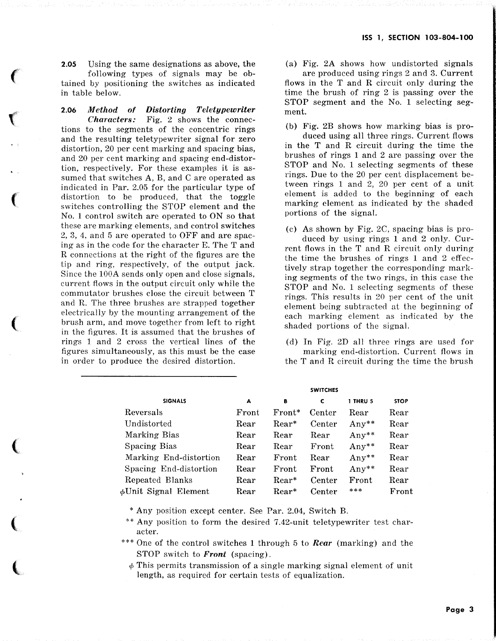2.05 Using the same designations as above, the following types of signals may be obtained by positioning the switches as indicated in table below.

 $\big($ 

 $\mathcal C$ 

 $\epsilon$ 

 $\big($ 

 $\big($ 

 $\big($ 

(

2.06 *Method of Distorting Teletypewriter Characters:* Fig. 2 shows the connections to the segments of the concentric rings and the resulting teletypewriter signal for zero distortion, 20 per cent marking and spacing bias, and 20 per cent marking and spacing end-distortion, respectively. For these examples it is assumed that switches A, B, and C are operated as indicated in Par. 2.05 for the particular type of distortion to be produced, that the toggle switches controlling the STOP element and the No. 1 control switch are operated to ON so that these are marking elements, and control switches 2, 3, 4, and 5 are operated to OFF and are spacing as in the code for the character E. The T and R connections at the right of the figures are the tip and ring, respectively, of the output jack. Since the 100A sends only open and close signals, current flows in the output circuit only while the commutator brushes close the circuit between T and R. The three brushes are strapped together electrically by the mounting arrangement of the brush arm, and move together from left to right in the figures. It is assumed that the brushes of rings 1 and 2 cross the vertical lines of the figures simultaneously, as this must be the case in order to produce the desired distortion.

(a) Fig. 2A shows how undistorted signals are produced using rings 2 and 3. Current flows in the T and R circuit only during the time the brush of ring 2 is passing over the STOP segment and the No. 1 selecting segment.

(b) Fig. 2B shows how marking bias is pro-

duced using all three rings. Current flows in the T and R circuit during the time the brushes of rings 1 and 2 are passing over the STOP and No. 1 selecting segments of these rings. Due to the 20 per cent displacement between rings 1 and 2, 20 per cent of a unit element is added to the beginning of each marking element as indicated by the shaded portions of the signal.

(c) As shown by Fig. 2C, spacing bias is produced by using rings 1 and 2 only. Current flows in the T and R circuit only during the time the brushes of rings 1 and 2 effectively strap together the corresponding marking segments of the two rings, in this case the STOP and No. 1 selecting segments of these rings. This results in 20 per cent of the unit element being subtracted at the beginning of each marking element as indicated by the shaded portions of the signal.

(d) In Fig. 2D all three rings are used for marking end-distortion. Current flows in the T and R circuit during the time the brush

|                            |       |          | <b>SWITCHES</b> |                 |                       |
|----------------------------|-------|----------|-----------------|-----------------|-----------------------|
| <b>SIGNALS</b>             | A     | в        | c               | <b>1 THRU 5</b> | <b>STOP</b>           |
| Reversals                  | Front | $Front*$ | Center          | Rear            | Rear                  |
| Undistorted                | Rear  | $Rear*$  | Center          | $Any**$         | Rear                  |
| Marking Bias               | Rear  | Rear     | Rear            | Any $*$         | $\operatorname{Rear}$ |
| Spacing Bias               | Rear  | Rear     | Front           | $Any**$         | $\operatorname{Rear}$ |
| Marking End-distortion     | Rear  | Front    | Rear            | Any $*$         | $\operatorname{Rear}$ |
| Spacing End-distortion     | Rear  | Front    | Front           | $Any**$         | $\operatorname{Rear}$ |
| Repeated Blanks            | Rear  | Rear*    | Center          | Front           | Rear                  |
| $\phi$ Unit Signal Element | Rear  | $Rear*$  | Center          | ***             | Front                 |

\* Any position except center. See Par. 2.04, Switch B.

\*\* Any position to form the desired 7.42-unit teletypewriter test character.

\*\*\* One of the control switches 1 through 5 to *Rear* (marking) and the STOP switch to *Front* (spacing).

 $\phi$  This permits transmission of a single marking signal element of unit length, as required for certain tests of equalization.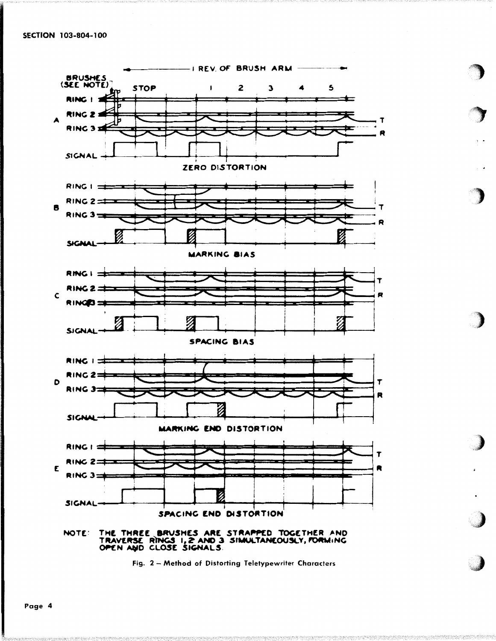

Fig. 2 - Method of Distorting Teletypewriter Characters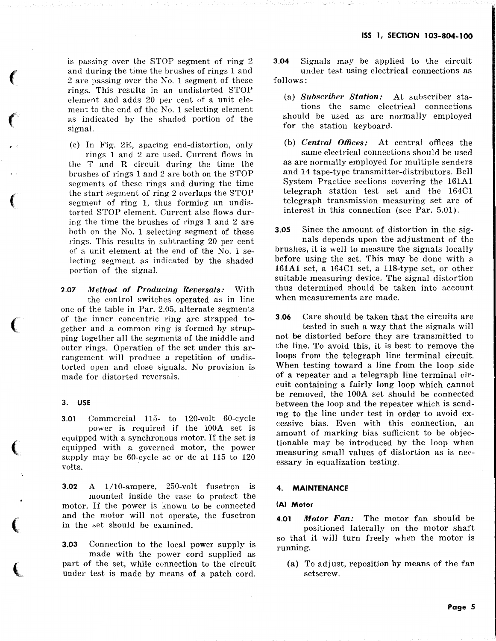is passing over the STOP segment of ring 2 and during the time the brushes of rings 1 and 2 are passing over the No. 1 segment of these rings. This results in an undistorted STOP element and adds 20 per cent of a unit element to the end of the No. 1 selecting element as indicated by the shaded portion of the signal.

(e) In Fig. 2E, spacing end-distortion, only rings 1 and 2 are used. Current flows in the T and R circuit during the time the brushes of rings 1 and 2 are both on the STOP segments of these rings and during the time the start segment of ring 2 overlaps the STOP segment of ring 1, thus forming an undistorted STOP element. Current also flows during the time the brushes of rings 1 and 2 are both on the No. 1 selecting segment of these rings. This results in subtracting 20 per cent of a unit element at the end of the No. 1 selecting segment as indicated by the shaded portion of the signal.

2.07 *Method of Producing Reversals:* With the control switches operated as in line one of the table in Par. 2.05, alternate segments of the inner concentric ring are strapped together and a common ring is formed by strapping together all the segments of the middle and outer rings. Operation of the set under this arrangement will produce a repetition of undistorted open and close signals. No provision is made for distorted reversals.

# 3. USE

 $\epsilon$ 

 $\epsilon$ 

 $\cdot$   $\cdot$ 

(

(

 $\big($ 

 $\big($ 

 $\mathbf \ell$ 

3.01 Commercial 115- to 120-volt 60-cycle power is required if the 100A set is equipped with a synchronous motor. If the set is equipped with a governed motor, the power supply may be 60-cycle ac or de at 115 to 120 volts.

3.02 A 1/10-ampere, 250-volt fusetron is mounted inside the case to protect the motor. If the power is known to be connected and the motor will not operate, the fusetron in the set should be examined.

3.03 Connection to the local power supply is made with the power cord supplied as part of the set, while connection to the circuit under test is made by means of a patch cord. 3.04 Signals may be applied to the circuit under test using electrical connections as follows:

- (a) *Subscriber Station:* At subscriber stations the same electrical connections should be used as are normally employed for the station keyboard.
- (b) *Central Offices:* At central offices the same electrical connections should be used as are normally employed for multiple senders and 14 tape-type transmitter-distributors. Bell System Practice sections covering the 161A1 telegraph station test set and the 164C1 telegraph transmission measuring set are of interest in this connection (see Par. 5.01).

3.05 Since the amount of distortion in the signals depends upon the adjustment of the brushes, it is well to measure the signals locally before using the set. This may be done with a 161A1 set, a 164C1 set, a 118-type set, or other suitable measuring device. The signal distortion thus determined should be taken into account when measurements are made.

3.06 Care should be taken that the circuits are tested in such a way that the signals will not be distorted before they are transmitted to the line. To avoid this, it is best to remove the loops from the telegraph line terminal circuit. When testing toward a line from the loop side of a repeater and a telegraph line terminal circuit containing a fairly long loop which cannot be removed, the 100A set should be connected between the loop and the repeater which is sending to the line under test in order to avoid excessive bias. Even with this connection, an amount of marking bias sufficient to be objectionable may be introduced by the loop when measuring small values of distortion as is necessary in equalization testing.

#### **MAINTENANCE**

#### (A) Motor

4.01 *Motor Fan:* The motor fan shoufd be positioned laterally on the motor shaft so that it will turn freely when the motor is running.

(a) To adjust, reposition by means of the fan setscrew.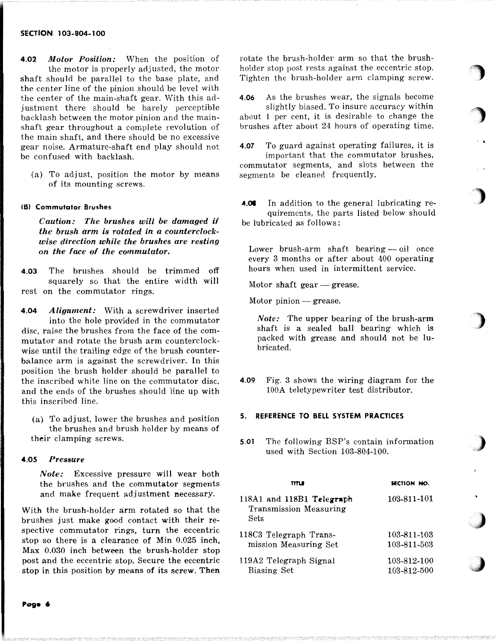### SECTION 103-804-100

4.02 *Motor Position:* When the position of the motor is properly adjusted, the motor shaft should be parallel to the base plate, and the center line of the pinion should be level with the center of the main-shaft gear. With this adjustment there should be barely perceptible backlash between the motor pinion and the mainshaft gear throughout a complete revolution of the main shaft, and there should be no excessive gear noise. Armature-shaft end play should not be confused with backlash.

(a) To adjust, position the motor by means of its mounting screws.

### (B) Commutator Brushes

*Caution: The brushes will be damaged if the brush arm is rotated in a counterclockwise direction while the brushes are resting on the face of the commutator.* 

- 4.03 The brushes should be trimmed off squarely so that the entire width will rest on the commutator rings.
- 4.04 *Alignment:* With a screwdriver inserted into the hole provided in the commutator disc, raise the brushes from the face of the commutator and rotate the brush arm counterclockwise until the trailing edge of the brush counterbalance arm is against the screwdriver. In this position the brush holder should be parallel to the inscribed white line on the commutator disc, and the ends of the brushes should line up with this inscribed line.
	- (a) To adjust, lower the brushes and position the brushes and brush holder by means of their clamping screws.

#### 4.05 *Pressure*

*Note:* Excessive pressure will wear both the brushes and the commutator segments and make frequent adjustment necessary.

With the brush-holder arm rotated so that the brushes just make good contact with their respective commutator rings, turn the eccentric stop so there is a clearance of Min 0.025 inch, Max 0.030 inch between the brush-holder stop post and the eccentric stop. Secure the eccentric stop in this position by means of its screw. Then

rotate the brush-holder arm so that the brushholder stop post rests against the eccentric stop. Tighten the brush-holder arm clamping screw.

'')

 $\cdot$  .

)

)

,)

*,)* 

j<br>Voqealar

4.06 As the brushes wear, the signals become slightly biased. To insure accuracy within

about 1 per cent, it is desirable to change the brushes after about 24 hours of operating time.

- 4.07 To guard against operating failures, it is important that the commutator brushes, commutator segments, and slots between the segments be cleaned frequently.
- 4.08 In addition to the general lubricating requirements, the parts listed below should be lubricated as follows:

Lower brush-arm shaft bearing — oil once every 3 months or after about 400 operating hours when used in intermittent service.

Motor shaft gear  $-$  grease.

Motor pinion  $-$  grease.

*Note:* The upper bearing of the brush-arm shaft is a sealed ball bearing which is packed with grease and should not be lubricated.

4.09 Fig. 3 shows the wiring diagram for the 100A teletypewriter test distributor.

#### 5. REFERENCE TO BELL SYSTEM PRACTICES

5.01 The following BSP's contain information used with Section 103-804-100.

| TITL B                                                      | SECTION NO. |
|-------------------------------------------------------------|-------------|
| 118A1 and 118B1 Telegraph<br>Transmission Measuring<br>Sets | 103-811-101 |
| 118C3 Telegraph Trans-                                      | 103-811-103 |
| mission Measuring Set                                       | 103-811-503 |
| 119A2 Telegraph Signal                                      | 103-812-100 |
| Biasing Set                                                 | 103-812-500 |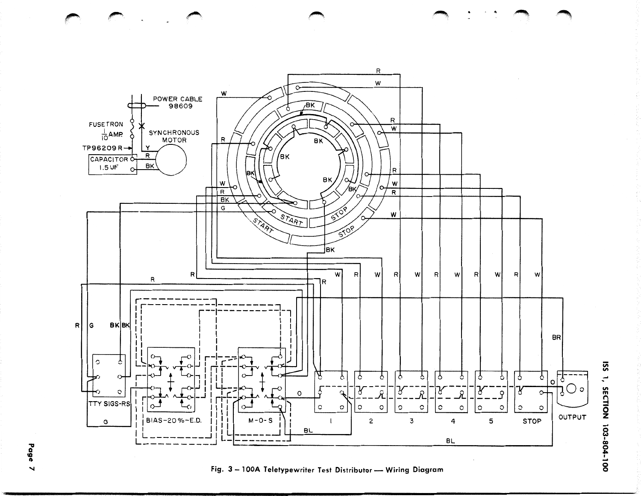

Fig. 3-100A Teletypewriter Test Distributor- Wiring Diagram

ISS 1, SECTION 103-804-100

 $\epsilon$ 

Page  $\blacktriangleleft$